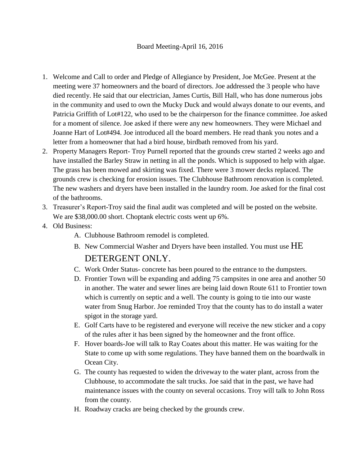## Board Meeting-April 16, 2016

- 1. Welcome and Call to order and Pledge of Allegiance by President, Joe McGee. Present at the meeting were 37 homeowners and the board of directors. Joe addressed the 3 people who have died recently. He said that our electrician, James Curtis, Bill Hall, who has done numerous jobs in the community and used to own the Mucky Duck and would always donate to our events, and Patricia Griffith of Lot#122, who used to be the chairperson for the finance committee. Joe asked for a moment of silence. Joe asked if there were any new homeowners. They were Michael and Joanne Hart of Lot#494. Joe introduced all the board members. He read thank you notes and a letter from a homeowner that had a bird house, birdbath removed from his yard.
- 2. Property Managers Report- Troy Purnell reported that the grounds crew started 2 weeks ago and have installed the Barley Straw in netting in all the ponds. Which is supposed to help with algae. The grass has been mowed and skirting was fixed. There were 3 mower decks replaced. The grounds crew is checking for erosion issues. The Clubhouse Bathroom renovation is completed. The new washers and dryers have been installed in the laundry room. Joe asked for the final cost of the bathrooms.
- 3. Treasurer's Report-Troy said the final audit was completed and will be posted on the website. We are \$38,000.00 short. Choptank electric costs went up 6%.
- 4. Old Business:
	- A. Clubhouse Bathroom remodel is completed.
	- B. New Commercial Washer and Dryers have been installed. You must use HE DETERGENT ONLY.
	- C. Work Order Status- concrete has been poured to the entrance to the dumpsters.
	- D. Frontier Town will be expanding and adding 75 campsites in one area and another 50 in another. The water and sewer lines are being laid down Route 611 to Frontier town which is currently on septic and a well. The county is going to tie into our waste water from Snug Harbor. Joe reminded Troy that the county has to do install a water spigot in the storage yard.
	- E. Golf Carts have to be registered and everyone will receive the new sticker and a copy of the rules after it has been signed by the homeowner and the front office.
	- F. Hover boards-Joe will talk to Ray Coates about this matter. He was waiting for the State to come up with some regulations. They have banned them on the boardwalk in Ocean City.
	- G. The county has requested to widen the driveway to the water plant, across from the Clubhouse, to accommodate the salt trucks. Joe said that in the past, we have had maintenance issues with the county on several occasions. Troy will talk to John Ross from the county.
	- H. Roadway cracks are being checked by the grounds crew.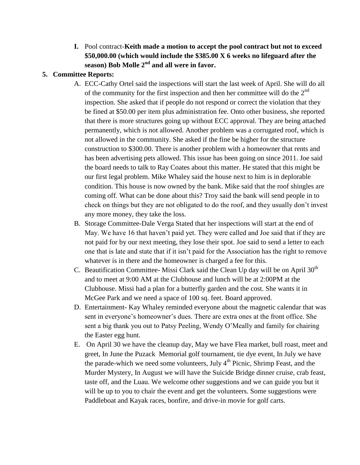**I.** Pool contract-**Keith made a motion to accept the pool contract but not to exceed \$50,000.00 (which would include the \$385.00 X 6 weeks no lifeguard after the season) Bob Molle 2nd and all were in favor.**

## **5. Committee Reports:**

- A. ECC-Cathy Ortel said the inspections will start the last week of April. She will do all of the community for the first inspection and then her committee will do the  $2<sup>nd</sup>$ inspection. She asked that if people do not respond or correct the violation that they be fined at \$50.00 per item plus administration fee. Onto other business, she reported that there is more structures going up without ECC approval. They are being attached permanently, which is not allowed. Another problem was a corrugated roof, which is not allowed in the community. She asked if the fine be higher for the structure construction to \$300.00. There is another problem with a homeowner that rents and has been advertising pets allowed. This issue has been going on since 2011. Joe said the board needs to talk to Ray Coates about this matter. He stated that this might be our first legal problem. Mike Whaley said the house next to him is in deplorable condition. This house is now owned by the bank. Mike said that the roof shingles are coming off. What can be done about this? Troy said the bank will send people in to check on things but they are not obligated to do the roof, and they usually don't invest any more money, they take the loss.
- B. Storage Committee-Dale Verga Stated that her inspections will start at the end of May. We have 16 that haven't paid yet. They were called and Joe said that if they are not paid for by our next meeting, they lose their spot. Joe said to send a letter to each one that is late and state that if it isn't paid for the Association has the right to remove whatever is in there and the homeowner is charged a fee for this.
- C. Beautification Committee-Missi Clark said the Clean Up day will be on April  $30<sup>th</sup>$ and to meet at 9:00 AM at the Clubhouse and lunch will be at 2:00PM at the Clubhouse. Missi had a plan for a butterfly garden and the cost. She wants it in McGee Park and we need a space of 100 sq. feet. Board approved.
- D. Entertainment- Kay Whaley reminded everyone about the magnetic calendar that was sent in everyone's homeowner's dues. There are extra ones at the front office. She sent a big thank you out to Patsy Peeling, Wendy O'Meally and family for chairing the Easter egg hunt.
- E. On April 30 we have the cleanup day, May we have Flea market, bull roast, meet and greet, In June the Puzack Memorial golf tournament, tie dye event, In July we have the parade-which we need some volunteers, July  $4<sup>th</sup>$  Picnic, Shrimp Feast, and the Murder Mystery, In August we will have the Suicide Bridge dinner cruise, crab feast, taste off, and the Luau. We welcome other suggestions and we can guide you but it will be up to you to chair the event and get the volunteers. Some suggestions were Paddleboat and Kayak races, bonfire, and drive-in movie for golf carts.